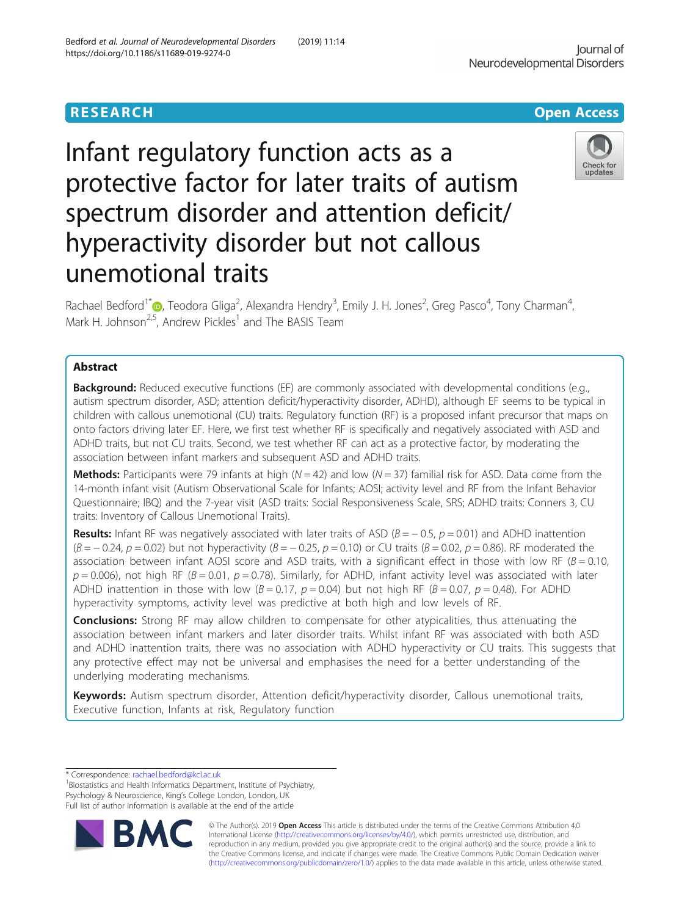## **RESEARCH CHE Open Access**

# Infant regulatory function acts as a protective factor for later traits of autism spectrum disorder and attention deficit/ hyperactivity disorder but not callous unemotional traits

Rachael Bedford<sup>1[\\*](http://orcid.org/0000-0002-8581-055X)</sup> (@, Teodora Gliga<sup>2</sup>, Alexandra Hendry<sup>3</sup>, Emily J. H. Jones<sup>2</sup>, Greg Pasco<sup>4</sup>, Tony Charman<sup>4</sup> , Mark H. Johnson<sup>2,5</sup>, Andrew Pickles<sup>1</sup> and The BASIS Team

## Abstract

**Background:** Reduced executive functions (EF) are commonly associated with developmental conditions (e.g., autism spectrum disorder, ASD; attention deficit/hyperactivity disorder, ADHD), although EF seems to be typical in children with callous unemotional (CU) traits. Regulatory function (RF) is a proposed infant precursor that maps on onto factors driving later EF. Here, we first test whether RF is specifically and negatively associated with ASD and ADHD traits, but not CU traits. Second, we test whether RF can act as a protective factor, by moderating the association between infant markers and subsequent ASD and ADHD traits.

**Methods:** Participants were 79 infants at high ( $N = 42$ ) and low ( $N = 37$ ) familial risk for ASD. Data come from the 14-month infant visit (Autism Observational Scale for Infants; AOSI; activity level and RF from the Infant Behavior Questionnaire; IBQ) and the 7-year visit (ASD traits: Social Responsiveness Scale, SRS; ADHD traits: Conners 3, CU traits: Inventory of Callous Unemotional Traits).

**Results:** Infant RF was negatively associated with later traits of ASD ( $B = -0.5$ ,  $p = 0.01$ ) and ADHD inattention  $(B = -0.24, p = 0.02)$  but not hyperactivity  $(B = -0.25, p = 0.10)$  or CU traits  $(B = 0.02, p = 0.86)$ . RF moderated the association between infant AOSI score and ASD traits, with a significant effect in those with low RF ( $B = 0.10$ ,  $p = 0.006$ ), not high RF ( $B = 0.01$ ,  $p = 0.78$ ). Similarly, for ADHD, infant activity level was associated with later ADHD inattention in those with low ( $B = 0.17$ ,  $p = 0.04$ ) but not high RF ( $B = 0.07$ ,  $p = 0.48$ ). For ADHD hyperactivity symptoms, activity level was predictive at both high and low levels of RF.

**Conclusions:** Strong RF may allow children to compensate for other atypicalities, thus attenuating the association between infant markers and later disorder traits. Whilst infant RF was associated with both ASD and ADHD inattention traits, there was no association with ADHD hyperactivity or CU traits. This suggests that any protective effect may not be universal and emphasises the need for a better understanding of the underlying moderating mechanisms.

Keywords: Autism spectrum disorder, Attention deficit/hyperactivity disorder, Callous unemotional traits, Executive function, Infants at risk, Regulatory function

\* Correspondence: [rachael.bedford@kcl.ac.uk](mailto:rachael.bedford@kcl.ac.uk) <sup>1</sup>

<sup>1</sup>Biostatistics and Health Informatics Department, Institute of Psychiatry, Psychology & Neuroscience, King's College London, London, UK Full list of author information is available at the end of the article



https://doi.org/10.1186/s11689-019-9274-0

Bedford et al. Journal of Neurodevelopmental Disorders (2019) 11:14





© The Author(s). 2019 **Open Access** This article is distributed under the terms of the Creative Commons Attribution 4.0 International License [\(http://creativecommons.org/licenses/by/4.0/](http://creativecommons.org/licenses/by/4.0/)), which permits unrestricted use, distribution, and reproduction in any medium, provided you give appropriate credit to the original author(s) and the source, provide a link to the Creative Commons license, and indicate if changes were made. The Creative Commons Public Domain Dedication waiver [\(http://creativecommons.org/publicdomain/zero/1.0/](http://creativecommons.org/publicdomain/zero/1.0/)) applies to the data made available in this article, unless otherwise stated.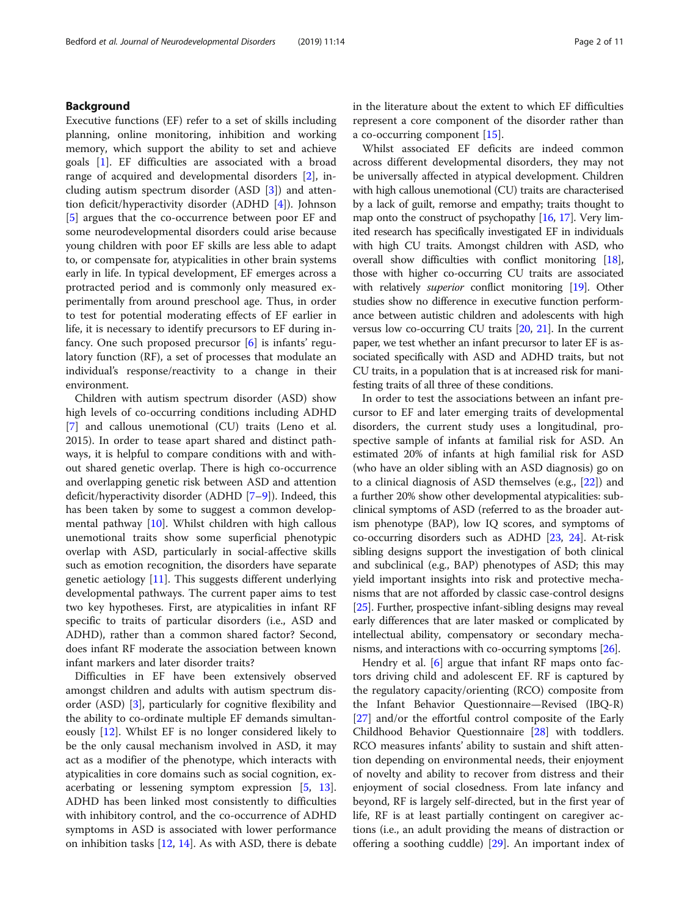## Background

Executive functions (EF) refer to a set of skills including planning, online monitoring, inhibition and working memory, which support the ability to set and achieve goals [\[1](#page-8-0)]. EF difficulties are associated with a broad range of acquired and developmental disorders [\[2](#page-8-0)], including autism spectrum disorder (ASD [[3\]](#page-8-0)) and attention deficit/hyperactivity disorder (ADHD [[4\]](#page-8-0)). Johnson [[5\]](#page-8-0) argues that the co-occurrence between poor EF and some neurodevelopmental disorders could arise because young children with poor EF skills are less able to adapt to, or compensate for, atypicalities in other brain systems early in life. In typical development, EF emerges across a protracted period and is commonly only measured experimentally from around preschool age. Thus, in order to test for potential moderating effects of EF earlier in life, it is necessary to identify precursors to EF during infancy. One such proposed precursor [\[6](#page-8-0)] is infants' regulatory function (RF), a set of processes that modulate an individual's response/reactivity to a change in their environment.

Children with autism spectrum disorder (ASD) show high levels of co-occurring conditions including ADHD [[7\]](#page-9-0) and callous unemotional (CU) traits (Leno et al. 2015). In order to tease apart shared and distinct pathways, it is helpful to compare conditions with and without shared genetic overlap. There is high co-occurrence and overlapping genetic risk between ASD and attention deficit/hyperactivity disorder (ADHD [\[7](#page-9-0)–[9](#page-9-0)]). Indeed, this has been taken by some to suggest a common developmental pathway [[10\]](#page-9-0). Whilst children with high callous unemotional traits show some superficial phenotypic overlap with ASD, particularly in social-affective skills such as emotion recognition, the disorders have separate genetic aetiology [[11\]](#page-9-0). This suggests different underlying developmental pathways. The current paper aims to test two key hypotheses. First, are atypicalities in infant RF specific to traits of particular disorders (i.e., ASD and ADHD), rather than a common shared factor? Second, does infant RF moderate the association between known infant markers and later disorder traits?

Difficulties in EF have been extensively observed amongst children and adults with autism spectrum disorder (ASD) [[3\]](#page-8-0), particularly for cognitive flexibility and the ability to co-ordinate multiple EF demands simultaneously [\[12](#page-9-0)]. Whilst EF is no longer considered likely to be the only causal mechanism involved in ASD, it may act as a modifier of the phenotype, which interacts with atypicalities in core domains such as social cognition, exacerbating or lessening symptom expression [[5,](#page-8-0) [13](#page-9-0)]. ADHD has been linked most consistently to difficulties with inhibitory control, and the co-occurrence of ADHD symptoms in ASD is associated with lower performance on inhibition tasks [\[12,](#page-9-0) [14\]](#page-9-0). As with ASD, there is debate in the literature about the extent to which EF difficulties represent a core component of the disorder rather than a co-occurring component [[15\]](#page-9-0).

Whilst associated EF deficits are indeed common across different developmental disorders, they may not be universally affected in atypical development. Children with high callous unemotional (CU) traits are characterised by a lack of guilt, remorse and empathy; traits thought to map onto the construct of psychopathy [\[16,](#page-9-0) [17](#page-9-0)]. Very limited research has specifically investigated EF in individuals with high CU traits. Amongst children with ASD, who overall show difficulties with conflict monitoring [\[18](#page-9-0)], those with higher co-occurring CU traits are associated with relatively *superior* conflict monitoring [[19](#page-9-0)]. Other studies show no difference in executive function performance between autistic children and adolescents with high versus low co-occurring CU traits [\[20,](#page-9-0) [21\]](#page-9-0). In the current paper, we test whether an infant precursor to later EF is associated specifically with ASD and ADHD traits, but not CU traits, in a population that is at increased risk for manifesting traits of all three of these conditions.

In order to test the associations between an infant precursor to EF and later emerging traits of developmental disorders, the current study uses a longitudinal, prospective sample of infants at familial risk for ASD. An estimated 20% of infants at high familial risk for ASD (who have an older sibling with an ASD diagnosis) go on to a clinical diagnosis of ASD themselves (e.g., [\[22\]](#page-9-0)) and a further 20% show other developmental atypicalities: subclinical symptoms of ASD (referred to as the broader autism phenotype (BAP), low IQ scores, and symptoms of co-occurring disorders such as ADHD [[23](#page-9-0), [24\]](#page-9-0). At-risk sibling designs support the investigation of both clinical and subclinical (e.g., BAP) phenotypes of ASD; this may yield important insights into risk and protective mechanisms that are not afforded by classic case-control designs [[25](#page-9-0)]. Further, prospective infant-sibling designs may reveal early differences that are later masked or complicated by intellectual ability, compensatory or secondary mechanisms, and interactions with co-occurring symptoms [[26\]](#page-9-0).

Hendry et al. [[6\]](#page-8-0) argue that infant RF maps onto factors driving child and adolescent EF. RF is captured by the regulatory capacity/orienting (RCO) composite from the Infant Behavior Questionnaire—Revised (IBQ-R) [[27\]](#page-9-0) and/or the effortful control composite of the Early Childhood Behavior Questionnaire [\[28](#page-9-0)] with toddlers. RCO measures infants' ability to sustain and shift attention depending on environmental needs, their enjoyment of novelty and ability to recover from distress and their enjoyment of social closedness. From late infancy and beyond, RF is largely self-directed, but in the first year of life, RF is at least partially contingent on caregiver actions (i.e., an adult providing the means of distraction or offering a soothing cuddle) [[29](#page-9-0)]. An important index of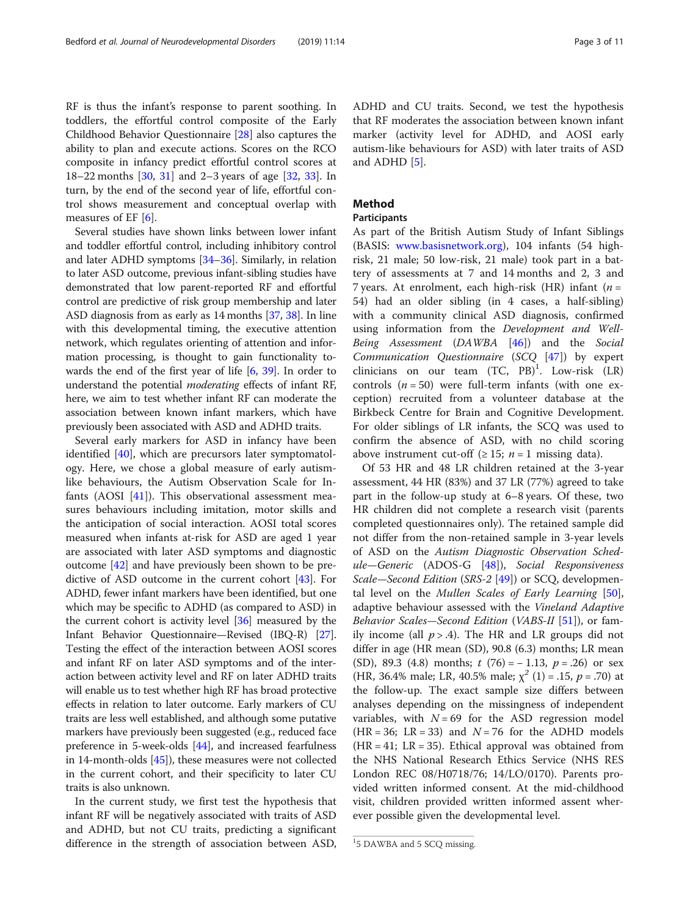RF is thus the infant's response to parent soothing. In toddlers, the effortful control composite of the Early Childhood Behavior Questionnaire [\[28](#page-9-0)] also captures the ability to plan and execute actions. Scores on the RCO composite in infancy predict effortful control scores at 18–22 months [\[30,](#page-9-0) [31\]](#page-9-0) and 2–3 years of age [\[32](#page-9-0), [33\]](#page-9-0). In turn, by the end of the second year of life, effortful control shows measurement and conceptual overlap with measures of EF [\[6](#page-8-0)].

Several studies have shown links between lower infant and toddler effortful control, including inhibitory control and later ADHD symptoms [[34](#page-9-0)–[36](#page-9-0)]. Similarly, in relation to later ASD outcome, previous infant-sibling studies have demonstrated that low parent-reported RF and effortful control are predictive of risk group membership and later ASD diagnosis from as early as 14 months [\[37,](#page-9-0) [38](#page-9-0)]. In line with this developmental timing, the executive attention network, which regulates orienting of attention and information processing, is thought to gain functionality towards the end of the first year of life [[6,](#page-8-0) [39](#page-9-0)]. In order to understand the potential moderating effects of infant RF, here, we aim to test whether infant RF can moderate the association between known infant markers, which have previously been associated with ASD and ADHD traits.

Several early markers for ASD in infancy have been identified [[40\]](#page-9-0), which are precursors later symptomatology. Here, we chose a global measure of early autismlike behaviours, the Autism Observation Scale for Infants (AOSI  $[41]$ ). This observational assessment measures behaviours including imitation, motor skills and the anticipation of social interaction. AOSI total scores measured when infants at-risk for ASD are aged 1 year are associated with later ASD symptoms and diagnostic outcome [\[42\]](#page-9-0) and have previously been shown to be predictive of ASD outcome in the current cohort [[43](#page-9-0)]. For ADHD, fewer infant markers have been identified, but one which may be specific to ADHD (as compared to ASD) in the current cohort is activity level [\[36\]](#page-9-0) measured by the Infant Behavior Questionnaire—Revised (IBQ-R) [[27](#page-9-0)]. Testing the effect of the interaction between AOSI scores and infant RF on later ASD symptoms and of the interaction between activity level and RF on later ADHD traits will enable us to test whether high RF has broad protective effects in relation to later outcome. Early markers of CU traits are less well established, and although some putative markers have previously been suggested (e.g., reduced face preference in 5-week-olds [\[44\]](#page-9-0), and increased fearfulness in 14-month-olds [[45](#page-9-0)]), these measures were not collected in the current cohort, and their specificity to later CU traits is also unknown.

In the current study, we first test the hypothesis that infant RF will be negatively associated with traits of ASD and ADHD, but not CU traits, predicting a significant difference in the strength of association between ASD, ADHD and CU traits. Second, we test the hypothesis that RF moderates the association between known infant marker (activity level for ADHD, and AOSI early autism-like behaviours for ASD) with later traits of ASD and ADHD [[5\]](#page-8-0).

## Method

#### **Participants**

As part of the British Autism Study of Infant Siblings (BASIS: [www.basisnetwork.org\)](http://www.basisnetwork.org), 104 infants (54 highrisk, 21 male; 50 low-risk, 21 male) took part in a battery of assessments at 7 and 14 months and 2, 3 and 7 years. At enrolment, each high-risk (HR) infant ( $n =$ 54) had an older sibling (in 4 cases, a half-sibling) with a community clinical ASD diagnosis, confirmed using information from the Development and Well-Being Assessment (DAWBA [\[46](#page-9-0)]) and the Social Communication Questionnaire (SCQ [\[47](#page-9-0)]) by expert clinicians on our team  $(TC, PB)^1$ . Low-risk  $(LR)$ controls  $(n = 50)$  were full-term infants (with one exception) recruited from a volunteer database at the Birkbeck Centre for Brain and Cognitive Development. For older siblings of LR infants, the SCQ was used to confirm the absence of ASD, with no child scoring above instrument cut-off  $(\geq 15; n = 1 \text{ missing data}).$ 

Of 53 HR and 48 LR children retained at the 3-year assessment, 44 HR (83%) and 37 LR (77%) agreed to take part in the follow-up study at 6–8 years. Of these, two HR children did not complete a research visit (parents completed questionnaires only). The retained sample did not differ from the non-retained sample in 3-year levels of ASD on the Autism Diagnostic Observation Schedule—Generic (ADOS-G [[48](#page-9-0)]), Social Responsiveness Scale–Second Edition (SRS-2 [[49](#page-9-0)]) or SCQ, developmen-tal level on the Mullen Scales of Early Learning [\[50](#page-9-0)], adaptive behaviour assessed with the Vineland Adaptive Behavior Scales-Second Edition (VABS-II [\[51](#page-9-0)]), or family income (all  $p > .4$ ). The HR and LR groups did not differ in age (HR mean (SD), 90.8 (6.3) months; LR mean (SD), 89.3 (4.8) months;  $t$  (76) = -1.13,  $p = .26$ ) or sex (HR, 36.4% male; LR, 40.5% male;  $\chi^2$  (1) = .15, p = .70) at the follow-up. The exact sample size differs between analyses depending on the missingness of independent variables, with  $N = 69$  for the ASD regression model  $(HR = 36; LR = 33)$  and  $N = 76$  for the ADHD models  $(HR = 41; LR = 35)$ . Ethical approval was obtained from the NHS National Research Ethics Service (NHS RES London REC 08/H0718/76; 14/LO/0170). Parents provided written informed consent. At the mid-childhood visit, children provided written informed assent wherever possible given the developmental level.

<sup>&</sup>lt;sup>1</sup>5 DAWBA and 5 SCQ missing.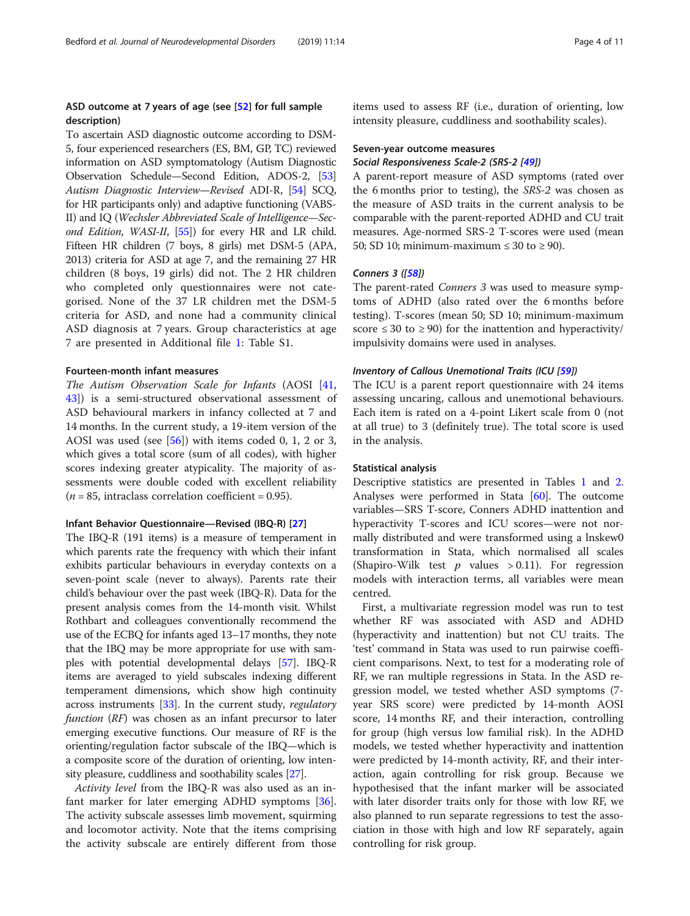## ASD outcome at 7 years of age (see [[52\]](#page-10-0) for full sample description)

To ascertain ASD diagnostic outcome according to DSM-5, four experienced researchers (ES, BM, GP, TC) reviewed information on ASD symptomatology (Autism Diagnostic Observation Schedule—Second Edition, ADOS-2, [[53](#page-10-0)] Autism Diagnostic Interview—Revised ADI-R, [\[54\]](#page-10-0) SCQ, for HR participants only) and adaptive functioning (VABS-II) and IQ (Wechsler Abbreviated Scale of Intelligence—Sec-ond Edition, WASI-II, [[55](#page-10-0)]) for every HR and LR child. Fifteen HR children (7 boys, 8 girls) met DSM-5 (APA, 2013) criteria for ASD at age 7, and the remaining 27 HR children (8 boys, 19 girls) did not. The 2 HR children who completed only questionnaires were not categorised. None of the 37 LR children met the DSM-5 criteria for ASD, and none had a community clinical ASD diagnosis at 7 years. Group characteristics at age 7 are presented in Additional file [1](#page-8-0): Table S1.

## Fourteen-month infant measures

The Autism Observation Scale for Infants (AOSI [[41](#page-9-0), [43\]](#page-9-0)) is a semi-structured observational assessment of ASD behavioural markers in infancy collected at 7 and 14 months. In the current study, a 19-item version of the AOSI was used (see [[56](#page-10-0)]) with items coded 0, 1, 2 or 3, which gives a total score (sum of all codes), with higher scores indexing greater atypicality. The majority of assessments were double coded with excellent reliability  $(n = 85$ , intraclass correlation coefficient = 0.95).

## Infant Behavior Questionnaire—Revised (IBQ-R) [\[27](#page-9-0)]

The IBQ-R (191 items) is a measure of temperament in which parents rate the frequency with which their infant exhibits particular behaviours in everyday contexts on a seven-point scale (never to always). Parents rate their child's behaviour over the past week (IBQ-R). Data for the present analysis comes from the 14-month visit. Whilst Rothbart and colleagues conventionally recommend the use of the ECBQ for infants aged 13–17 months, they note that the IBQ may be more appropriate for use with samples with potential developmental delays [\[57\]](#page-10-0). IBQ-R items are averaged to yield subscales indexing different temperament dimensions, which show high continuity across instruments [[33](#page-9-0)]. In the current study, regulatory function  $(RF)$  was chosen as an infant precursor to later emerging executive functions. Our measure of RF is the orienting/regulation factor subscale of the IBQ—which is a composite score of the duration of orienting, low intensity pleasure, cuddliness and soothability scales [[27](#page-9-0)].

Activity level from the IBQ-R was also used as an infant marker for later emerging ADHD symptoms [\[36](#page-9-0)]. The activity subscale assesses limb movement, squirming and locomotor activity. Note that the items comprising the activity subscale are entirely different from those

items used to assess RF (i.e., duration of orienting, low intensity pleasure, cuddliness and soothability scales).

## Seven-year outcome measures

## Social Responsiveness Scale-2 (SRS-2 [\[49\]](#page-9-0))

A parent-report measure of ASD symptoms (rated over the 6 months prior to testing), the SRS-2 was chosen as the measure of ASD traits in the current analysis to be comparable with the parent-reported ADHD and CU trait measures. Age-normed SRS-2 T-scores were used (mean 50; SD 10; minimum-maximum  $\leq 30$  to  $\geq 90$ ).

#### Conners 3 ([[58](#page-10-0)])

The parent-rated Conners 3 was used to measure symptoms of ADHD (also rated over the 6 months before testing). T-scores (mean 50; SD 10; minimum-maximum score  $\leq 30$  to  $\geq 90$ ) for the inattention and hyperactivity/ impulsivity domains were used in analyses.

#### Inventory of Callous Unemotional Traits (ICU [[59](#page-10-0)])

The ICU is a parent report questionnaire with 24 items assessing uncaring, callous and unemotional behaviours. Each item is rated on a 4-point Likert scale from 0 (not at all true) to 3 (definitely true). The total score is used in the analysis.

## Statistical analysis

Descriptive statistics are presented in Tables [1](#page-4-0) and [2](#page-4-0). Analyses were performed in Stata [[60\]](#page-10-0). The outcome variables—SRS T-score, Conners ADHD inattention and hyperactivity T-scores and ICU scores—were not normally distributed and were transformed using a lnskew0 transformation in Stata, which normalised all scales (Shapiro-Wilk test  $p$  values > 0.11). For regression models with interaction terms, all variables were mean centred.

First, a multivariate regression model was run to test whether RF was associated with ASD and ADHD (hyperactivity and inattention) but not CU traits. The 'test' command in Stata was used to run pairwise coefficient comparisons. Next, to test for a moderating role of RF, we ran multiple regressions in Stata. In the ASD regression model, we tested whether ASD symptoms (7 year SRS score) were predicted by 14-month AOSI score, 14 months RF, and their interaction, controlling for group (high versus low familial risk). In the ADHD models, we tested whether hyperactivity and inattention were predicted by 14-month activity, RF, and their interaction, again controlling for risk group. Because we hypothesised that the infant marker will be associated with later disorder traits only for those with low RF, we also planned to run separate regressions to test the association in those with high and low RF separately, again controlling for risk group.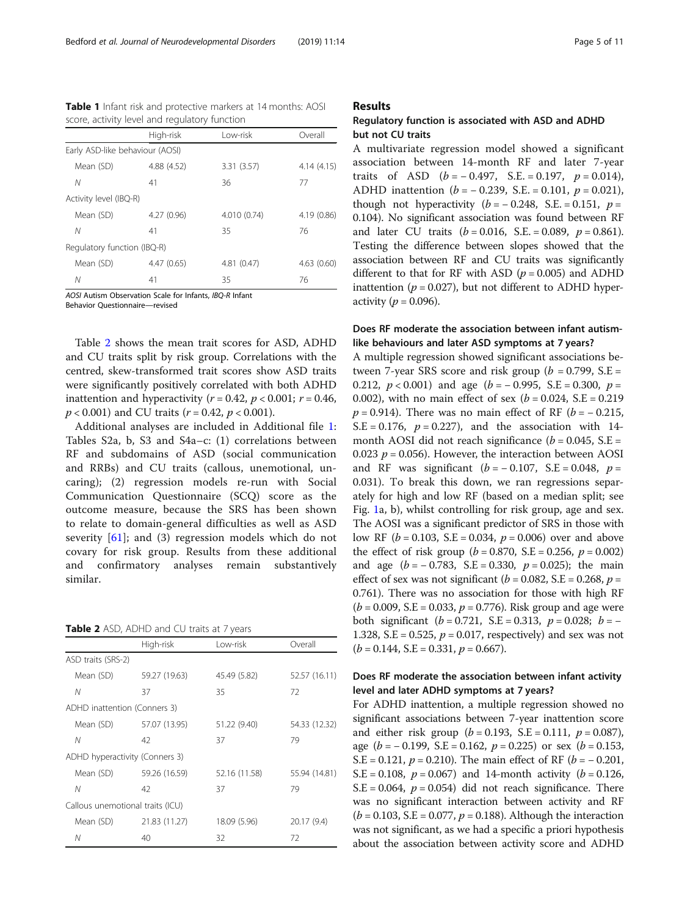<span id="page-4-0"></span>Table 1 Infant risk and protective markers at 14 months: AOSI score, activity level and regulatory function

|                                 | High-risk   | I ow-risk    | Overall    |
|---------------------------------|-------------|--------------|------------|
| Early ASD-like behaviour (AOSI) |             |              |            |
| Mean (SD)                       | 4.88 (4.52) | 3.31(3.57)   | 4.14(4.15) |
| Ν                               | 41          | 36           | 77         |
| Activity level (IBQ-R)          |             |              |            |
| Mean (SD)                       | 4.27(0.96)  | 4.010 (0.74) | 4.19(0.86) |
| Ν                               | 41          | 35           | 76         |
| Regulatory function (IBQ-R)     |             |              |            |
| Mean (SD)                       | 4.47(0.65)  | 4.81(0.47)   | 4.63(0.60) |
| Ν                               | 41          | 35           | 76         |

AOSI Autism Observation Scale for Infants, IBO-R Infant

Behavior Questionnaire—revised

Table 2 shows the mean trait scores for ASD, ADHD and CU traits split by risk group. Correlations with the centred, skew-transformed trait scores show ASD traits were significantly positively correlated with both ADHD inattention and hyperactivity ( $r = 0.42$ ,  $p < 0.001$ ;  $r = 0.46$ ,  $p < 0.001$ ) and CU traits ( $r = 0.42$ ,  $p < 0.001$ ).

Additional analyses are included in Additional file [1](#page-8-0): Tables S2a, b, S3 and S4a–c: (1) correlations between RF and subdomains of ASD (social communication and RRBs) and CU traits (callous, unemotional, uncaring); (2) regression models re-run with Social Communication Questionnaire (SCQ) score as the outcome measure, because the SRS has been shown to relate to domain-general difficulties as well as ASD severity [[61](#page-10-0)]; and (3) regression models which do not covary for risk group. Results from these additional and confirmatory analyses remain substantively similar.

Table 2 ASD, ADHD and CU traits at 7 years

|                                  | High-risk     | Low-risk      | Overall       |
|----------------------------------|---------------|---------------|---------------|
| ASD traits (SRS-2)               |               |               |               |
| Mean (SD)                        | 59.27 (19.63) | 45.49 (5.82)  | 52.57 (16.11) |
| N                                | 37            | 35            | 72            |
| ADHD inattention (Conners 3)     |               |               |               |
| Mean (SD)                        | 57.07 (13.95) | 51.22 (9.40)  | 54.33 (12.32) |
| N                                | 42            | 37            | 79            |
| ADHD hyperactivity (Conners 3)   |               |               |               |
| Mean (SD)                        | 59.26 (16.59) | 52.16 (11.58) | 55.94 (14.81) |
| N                                | 42            | 37            | 79            |
| Callous unemotional traits (ICU) |               |               |               |
| Mean (SD)                        | 21.83 (11.27) | 18.09 (5.96)  | 20.17 (9.4)   |
| Ν                                | 40            | 32            | 72            |

## Results

## Regulatory function is associated with ASD and ADHD but not CU traits

A multivariate regression model showed a significant association between 14-month RF and later 7-year traits of ASD  $(b = -0.497, S.E. = 0.197, p = 0.014)$ , ADHD inattention ( $b = -0.239$ , S.E. = 0.101,  $p = 0.021$ ), though not hyperactivity  $(b = -0.248, S.E. = 0.151, p =$ 0.104). No significant association was found between RF and later CU traits  $(b = 0.016, S.E. = 0.089, p = 0.861)$ . Testing the difference between slopes showed that the association between RF and CU traits was significantly different to that for RF with ASD ( $p = 0.005$ ) and ADHD inattention ( $p = 0.027$ ), but not different to ADHD hyperactivity ( $p = 0.096$ ).

## Does RF moderate the association between infant autismlike behaviours and later ASD symptoms at 7 years?

A multiple regression showed significant associations between 7-year SRS score and risk group ( $b = 0.799$ , S.E = 0.212,  $p < 0.001$ ) and age ( $b = -0.995$ , S.E = 0.300,  $p =$ 0.002), with no main effect of sex  $(b = 0.024, S.E = 0.219)$  $p = 0.914$ ). There was no main effect of RF ( $b = -0.215$ , S.E = 0.176,  $p = 0.227$ , and the association with 14month AOSI did not reach significance  $(b = 0.045, S.E =$ 0.023  $p = 0.056$ ). However, the interaction between AOSI and RF was significant  $(b = -0.107, S.E = 0.048, p =$ 0.031). To break this down, we ran regressions separately for high and low RF (based on a median split; see Fig. [1](#page-5-0)a, b), whilst controlling for risk group, age and sex. The AOSI was a significant predictor of SRS in those with low RF ( $b = 0.103$ , S.E = 0.034,  $p = 0.006$ ) over and above the effect of risk group ( $b = 0.870$ , S.E = 0.256,  $p = 0.002$ ) and age  $(b = -0.783, S.E = 0.330, p = 0.025)$ ; the main effect of sex was not significant ( $b = 0.082$ , S.E = 0.268,  $p =$ 0.761). There was no association for those with high RF  $(b = 0.009, S.E = 0.033, p = 0.776)$ . Risk group and age were both significant  $(b = 0.721, S.E = 0.313, p = 0.028; b = -$ 1.328, S.E = 0.525,  $p = 0.017$ , respectively) and sex was not  $(b = 0.144, S.E = 0.331, p = 0.667).$ 

## Does RF moderate the association between infant activity level and later ADHD symptoms at 7 years?

For ADHD inattention, a multiple regression showed no significant associations between 7-year inattention score and either risk group ( $b = 0.193$ , S.E = 0.111,  $p = 0.087$ ), age ( $b = -0.199$ , S.E = 0.162,  $p = 0.225$ ) or sex ( $b = 0.153$ , S.E = 0.121,  $p = 0.210$ ). The main effect of RF ( $b = -0.201$ , S.E = 0.108,  $p = 0.067$ ) and 14-month activity ( $b = 0.126$ , S.E = 0.064,  $p = 0.054$ ) did not reach significance. There was no significant interaction between activity and RF  $(b = 0.103, S.E = 0.077, p = 0.188)$ . Although the interaction was not significant, as we had a specific a priori hypothesis about the association between activity score and ADHD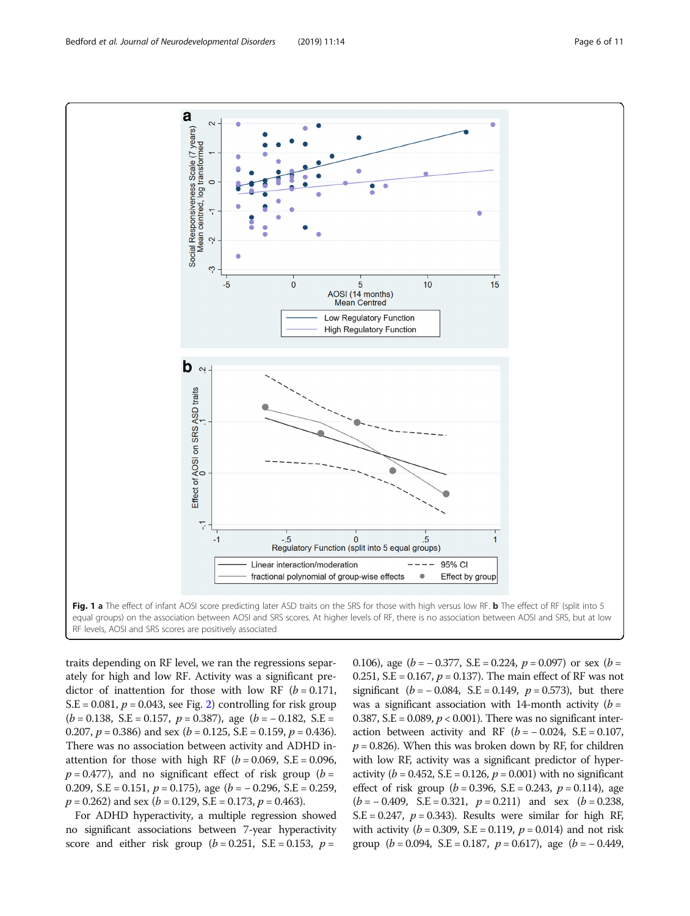<span id="page-5-0"></span>

Fig. 1 a The effect of infant AOSI score predicting later ASD traits on the SRS for those with high versus low RF. b The effect of RF (split into 5 equal groups) on the association between AOSI and SRS scores. At higher levels of RF, there is no association between AOSI and SRS, but at low RF levels, AOSI and SRS scores are positively associated

traits depending on RF level, we ran the regressions separately for high and low RF. Activity was a significant predictor of inattention for those with low RF  $(b = 0.171,$  $S.E = 0.081, p = 0.043$ , see Fig. [2\)](#page-6-0) controlling for risk group  $(b = 0.138, S.E = 0.157, p = 0.387)$ , age  $(b = -0.182, S.E =$ 0.207,  $p = 0.386$ ) and sex ( $b = 0.125$ , S.E = 0.159,  $p = 0.436$ ). There was no association between activity and ADHD inattention for those with high RF ( $b = 0.069$ , S.E = 0.096,  $p = 0.477$ ), and no significant effect of risk group ( $b =$ 0.209, S.E = 0.151,  $p = 0.175$ ), age ( $b = -0.296$ , S.E = 0.259,  $p = 0.262$ ) and sex ( $b = 0.129$ , S.E = 0.173,  $p = 0.463$ ).

For ADHD hyperactivity, a multiple regression showed no significant associations between 7-year hyperactivity score and either risk group ( $b = 0.251$ , S.E = 0.153,  $p =$ 

0.106), age ( $b = -0.377$ , S.E = 0.224,  $p = 0.097$ ) or sex ( $b =$ 0.251, S.E = 0.167,  $p = 0.137$ ). The main effect of RF was not significant ( $b = -0.084$ , S.E = 0.149,  $p = 0.573$ ), but there was a significant association with 14-month activity  $(b =$ 0.387, S.E = 0.089,  $p < 0.001$ ). There was no significant interaction between activity and RF  $(b = -0.024, S.E = 0.107,$  $p = 0.826$ ). When this was broken down by RF, for children with low RF, activity was a significant predictor of hyperactivity ( $b = 0.452$ , S.E = 0.126,  $p = 0.001$ ) with no significant effect of risk group ( $b = 0.396$ , S.E = 0.243,  $p = 0.114$ ), age  $(b = -0.409, \text{ S.E} = 0.321, p = 0.211) \text{ and } \text{sex } (b = 0.238,$ S.E = 0.247,  $p = 0.343$ ). Results were similar for high RF, with activity ( $b = 0.309$ , S.E = 0.119,  $p = 0.014$ ) and not risk group ( $b = 0.094$ , S.E = 0.187,  $p = 0.617$ ), age ( $b = -0.449$ ,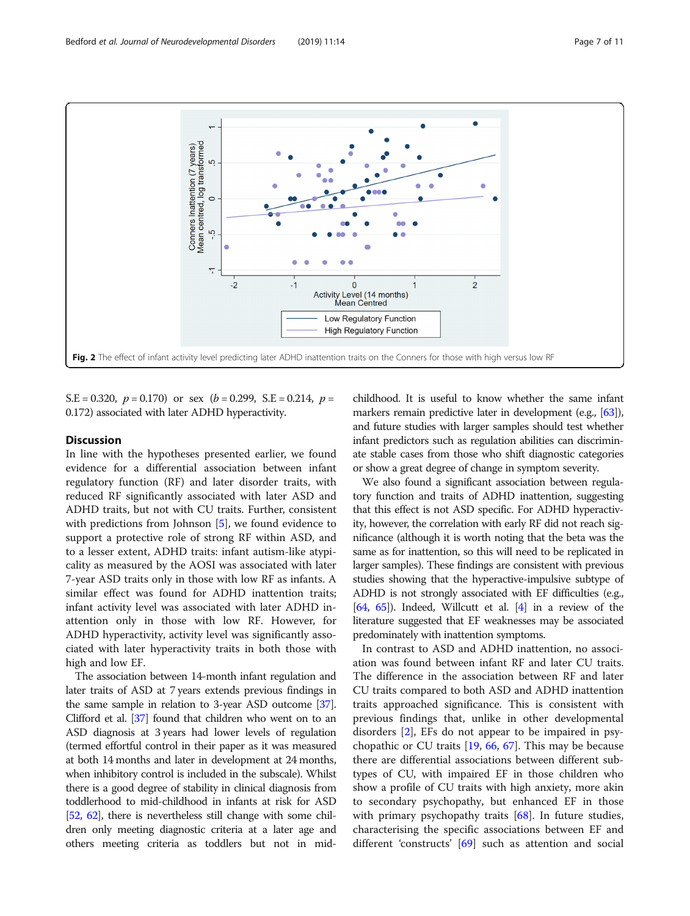<span id="page-6-0"></span>

S.E = 0.320,  $p = 0.170$  or sex  $(b = 0.299, S.E = 0.214, p = 0.299)$ 0.172) associated with later ADHD hyperactivity.

## **Discussion**

In line with the hypotheses presented earlier, we found evidence for a differential association between infant regulatory function (RF) and later disorder traits, with reduced RF significantly associated with later ASD and ADHD traits, but not with CU traits. Further, consistent with predictions from Johnson [[5\]](#page-8-0), we found evidence to support a protective role of strong RF within ASD, and to a lesser extent, ADHD traits: infant autism-like atypicality as measured by the AOSI was associated with later 7-year ASD traits only in those with low RF as infants. A similar effect was found for ADHD inattention traits; infant activity level was associated with later ADHD inattention only in those with low RF. However, for ADHD hyperactivity, activity level was significantly associated with later hyperactivity traits in both those with high and low EF.

The association between 14-month infant regulation and later traits of ASD at 7 years extends previous findings in the same sample in relation to 3-year ASD outcome [\[37](#page-9-0)]. Clifford et al. [\[37](#page-9-0)] found that children who went on to an ASD diagnosis at 3 years had lower levels of regulation (termed effortful control in their paper as it was measured at both 14 months and later in development at 24 months, when inhibitory control is included in the subscale). Whilst there is a good degree of stability in clinical diagnosis from toddlerhood to mid-childhood in infants at risk for ASD [[52](#page-10-0), [62](#page-10-0)], there is nevertheless still change with some children only meeting diagnostic criteria at a later age and others meeting criteria as toddlers but not in mid-

childhood. It is useful to know whether the same infant markers remain predictive later in development (e.g., [\[63](#page-10-0)]), and future studies with larger samples should test whether infant predictors such as regulation abilities can discriminate stable cases from those who shift diagnostic categories or show a great degree of change in symptom severity.

We also found a significant association between regulatory function and traits of ADHD inattention, suggesting that this effect is not ASD specific. For ADHD hyperactivity, however, the correlation with early RF did not reach significance (although it is worth noting that the beta was the same as for inattention, so this will need to be replicated in larger samples). These findings are consistent with previous studies showing that the hyperactive-impulsive subtype of ADHD is not strongly associated with EF difficulties (e.g., [[64](#page-10-0), [65\]](#page-10-0)). Indeed, Willcutt et al. [\[4](#page-8-0)] in a review of the literature suggested that EF weaknesses may be associated predominately with inattention symptoms.

In contrast to ASD and ADHD inattention, no association was found between infant RF and later CU traits. The difference in the association between RF and later CU traits compared to both ASD and ADHD inattention traits approached significance. This is consistent with previous findings that, unlike in other developmental disorders [\[2](#page-8-0)], EFs do not appear to be impaired in psychopathic or CU traits [\[19,](#page-9-0) [66,](#page-10-0) [67](#page-10-0)]. This may be because there are differential associations between different subtypes of CU, with impaired EF in those children who show a profile of CU traits with high anxiety, more akin to secondary psychopathy, but enhanced EF in those with primary psychopathy traits  $[68]$  $[68]$  $[68]$ . In future studies, characterising the specific associations between EF and different 'constructs' [\[69](#page-10-0)] such as attention and social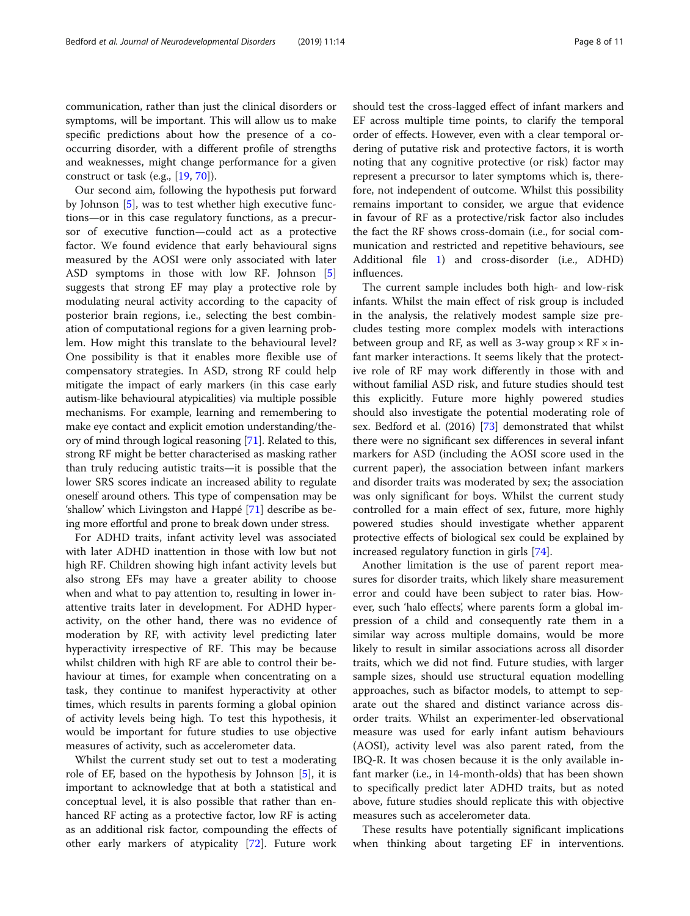communication, rather than just the clinical disorders or symptoms, will be important. This will allow us to make specific predictions about how the presence of a cooccurring disorder, with a different profile of strengths and weaknesses, might change performance for a given construct or task (e.g., [[19,](#page-9-0) [70\]](#page-10-0)).

Our second aim, following the hypothesis put forward by Johnson [\[5](#page-8-0)], was to test whether high executive functions—or in this case regulatory functions, as a precursor of executive function—could act as a protective factor. We found evidence that early behavioural signs measured by the AOSI were only associated with later ASD symptoms in those with low RF. Johnson [\[5](#page-8-0)] suggests that strong EF may play a protective role by modulating neural activity according to the capacity of posterior brain regions, i.e., selecting the best combination of computational regions for a given learning problem. How might this translate to the behavioural level? One possibility is that it enables more flexible use of compensatory strategies. In ASD, strong RF could help mitigate the impact of early markers (in this case early autism-like behavioural atypicalities) via multiple possible mechanisms. For example, learning and remembering to make eye contact and explicit emotion understanding/theory of mind through logical reasoning [[71](#page-10-0)]. Related to this, strong RF might be better characterised as masking rather than truly reducing autistic traits—it is possible that the lower SRS scores indicate an increased ability to regulate oneself around others. This type of compensation may be 'shallow' which Livingston and Happé [\[71\]](#page-10-0) describe as being more effortful and prone to break down under stress.

For ADHD traits, infant activity level was associated with later ADHD inattention in those with low but not high RF. Children showing high infant activity levels but also strong EFs may have a greater ability to choose when and what to pay attention to, resulting in lower inattentive traits later in development. For ADHD hyperactivity, on the other hand, there was no evidence of moderation by RF, with activity level predicting later hyperactivity irrespective of RF. This may be because whilst children with high RF are able to control their behaviour at times, for example when concentrating on a task, they continue to manifest hyperactivity at other times, which results in parents forming a global opinion of activity levels being high. To test this hypothesis, it would be important for future studies to use objective measures of activity, such as accelerometer data.

Whilst the current study set out to test a moderating role of EF, based on the hypothesis by Johnson [[5\]](#page-8-0), it is important to acknowledge that at both a statistical and conceptual level, it is also possible that rather than enhanced RF acting as a protective factor, low RF is acting as an additional risk factor, compounding the effects of other early markers of atypicality [\[72\]](#page-10-0). Future work should test the cross-lagged effect of infant markers and EF across multiple time points, to clarify the temporal order of effects. However, even with a clear temporal ordering of putative risk and protective factors, it is worth noting that any cognitive protective (or risk) factor may represent a precursor to later symptoms which is, therefore, not independent of outcome. Whilst this possibility remains important to consider, we argue that evidence in favour of RF as a protective/risk factor also includes the fact the RF shows cross-domain (i.e., for social communication and restricted and repetitive behaviours, see Additional file [1](#page-8-0)) and cross-disorder (i.e., ADHD) influences.

The current sample includes both high- and low-risk infants. Whilst the main effect of risk group is included in the analysis, the relatively modest sample size precludes testing more complex models with interactions between group and RF, as well as 3-way group  $\times$  RF  $\times$  infant marker interactions. It seems likely that the protective role of RF may work differently in those with and without familial ASD risk, and future studies should test this explicitly. Future more highly powered studies should also investigate the potential moderating role of sex. Bedford et al. (2016) [\[73](#page-10-0)] demonstrated that whilst there were no significant sex differences in several infant markers for ASD (including the AOSI score used in the current paper), the association between infant markers and disorder traits was moderated by sex; the association was only significant for boys. Whilst the current study controlled for a main effect of sex, future, more highly powered studies should investigate whether apparent protective effects of biological sex could be explained by increased regulatory function in girls [[74\]](#page-10-0).

Another limitation is the use of parent report measures for disorder traits, which likely share measurement error and could have been subject to rater bias. However, such 'halo effects', where parents form a global impression of a child and consequently rate them in a similar way across multiple domains, would be more likely to result in similar associations across all disorder traits, which we did not find. Future studies, with larger sample sizes, should use structural equation modelling approaches, such as bifactor models, to attempt to separate out the shared and distinct variance across disorder traits. Whilst an experimenter-led observational measure was used for early infant autism behaviours (AOSI), activity level was also parent rated, from the IBQ-R. It was chosen because it is the only available infant marker (i.e., in 14-month-olds) that has been shown to specifically predict later ADHD traits, but as noted above, future studies should replicate this with objective measures such as accelerometer data.

These results have potentially significant implications when thinking about targeting EF in interventions.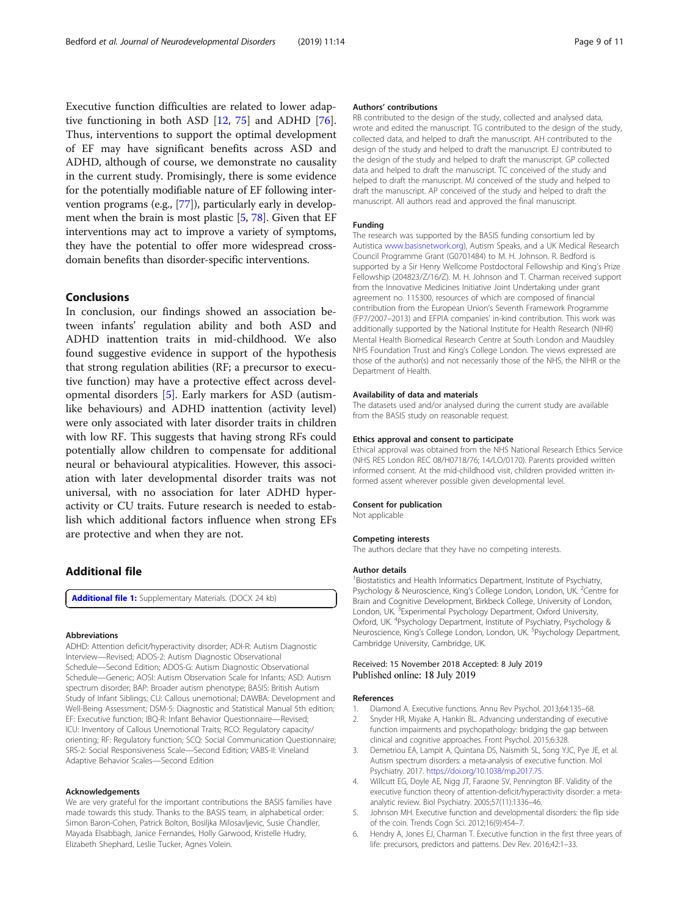<span id="page-8-0"></span>Executive function difficulties are related to lower adaptive functioning in both ASD [\[12](#page-9-0), [75](#page-10-0)] and ADHD [\[76](#page-10-0)]. Thus, interventions to support the optimal development of EF may have significant benefits across ASD and ADHD, although of course, we demonstrate no causality in the current study. Promisingly, there is some evidence for the potentially modifiable nature of EF following intervention programs (e.g., [[77](#page-10-0)]), particularly early in development when the brain is most plastic [5, [78\]](#page-10-0). Given that EF interventions may act to improve a variety of symptoms, they have the potential to offer more widespread crossdomain benefits than disorder-specific interventions.

## Conclusions

In conclusion, our findings showed an association between infants' regulation ability and both ASD and ADHD inattention traits in mid-childhood. We also found suggestive evidence in support of the hypothesis that strong regulation abilities (RF; a precursor to executive function) may have a protective effect across developmental disorders [5]. Early markers for ASD (autismlike behaviours) and ADHD inattention (activity level) were only associated with later disorder traits in children with low RF. This suggests that having strong RFs could potentially allow children to compensate for additional neural or behavioural atypicalities. However, this association with later developmental disorder traits was not universal, with no association for later ADHD hyperactivity or CU traits. Future research is needed to establish which additional factors influence when strong EFs are protective and when they are not.

## Additional file

[Additional file 1:](https://doi.org/10.1186/s11689-019-9274-0) Supplementary Materials. (DOCX 24 kb)

#### Abbreviations

ADHD: Attention deficit/hyperactivity disorder; ADI-R: Autism Diagnostic Interview—Revised; ADOS-2: Autism Diagnostic Observational Schedule—Second Edition; ADOS-G: Autism Diagnostic Observational Schedule—Generic; AOSI: Autism Observation Scale for Infants; ASD: Autism spectrum disorder; BAP: Broader autism phenotype; BASIS: British Autism Study of Infant Siblings; CU: Callous unemotional; DAWBA: Development and Well-Being Assessment; DSM-5: Diagnostic and Statistical Manual 5th edition; EF: Executive function; IBQ-R: Infant Behavior Questionnaire—Revised; ICU: Inventory of Callous Unemotional Traits; RCO: Regulatory capacity/ orienting; RF: Regulatory function; SCQ: Social Communication Questionnaire; SRS-2: Social Responsiveness Scale—Second Edition; VABS-II: Vineland Adaptive Behavior Scales—Second Edition

#### Acknowledgements

We are very grateful for the important contributions the BASIS families have made towards this study. Thanks to the BASIS team, in alphabetical order: Simon Baron-Cohen, Patrick Bolton, Bosiljka Milosavljevic, Susie Chandler, Mayada Elsabbagh, Janice Fernandes, Holly Garwood, Kristelle Hudry, Elizabeth Shephard, Leslie Tucker, Agnes Volein.

#### Authors' contributions

RB contributed to the design of the study, collected and analysed data, wrote and edited the manuscript. TG contributed to the design of the study, collected data, and helped to draft the manuscript. AH contributed to the design of the study and helped to draft the manuscript. EJ contributed to the design of the study and helped to draft the manuscript. GP collected data and helped to draft the manuscript. TC conceived of the study and helped to draft the manuscript. MJ conceived of the study and helped to draft the manuscript. AP conceived of the study and helped to draft the manuscript. All authors read and approved the final manuscript.

#### Funding

The research was supported by the BASIS funding consortium led by Autistica [www.basisnetwork.org](http://www.basisnetwork.org)), Autism Speaks, and a UK Medical Research Council Programme Grant (G0701484) to M. H. Johnson. R. Bedford is supported by a Sir Henry Wellcome Postdoctoral Fellowship and King's Prize Fellowship (204823/Z/16/Z). M. H. Johnson and T. Charman received support from the Innovative Medicines Initiative Joint Undertaking under grant agreement no. 115300, resources of which are composed of financial contribution from the European Union's Seventh Framework Programme (FP7/2007–2013) and EFPIA companies' in-kind contribution. This work was additionally supported by the National Institute for Health Research (NIHR) Mental Health Biomedical Research Centre at South London and Maudsley NHS Foundation Trust and King's College London. The views expressed are those of the author(s) and not necessarily those of the NHS, the NIHR or the Department of Health.

#### Availability of data and materials

The datasets used and/or analysed during the current study are available from the BASIS study on reasonable request.

#### Ethics approval and consent to participate

Ethical approval was obtained from the NHS National Research Ethics Service (NHS RES London REC 08/H0718/76; 14/LO/0170). Parents provided written informed consent. At the mid-childhood visit, children provided written informed assent wherever possible given developmental level.

#### Consent for publication

Not applicable

#### Competing interests

The authors declare that they have no competing interests.

#### Author details

<sup>1</sup> Biostatistics and Health Informatics Department, Institute of Psychiatry Psychology & Neuroscience, King's College London, London, UK. <sup>2</sup>Centre for Brain and Cognitive Development, Birkbeck College, University of London, London, UK.<sup>3</sup> Experimental Psychology Department, Oxford University, Oxford, UK. <sup>4</sup>Psychology Department, Institute of Psychiatry, Psychology & Neuroscience, King's College London, London, UK. <sup>5</sup>Psychology Department Cambridge University, Cambridge, UK.

#### Received: 15 November 2018 Accepted: 8 July 2019 Published online: 18 July 2019

#### References

- 1. Diamond A. Executive functions. Annu Rev Psychol. 2013;64:135–68.
- 2. Snyder HR, Miyake A, Hankin BL. Advancing understanding of executive function impairments and psychopathology: bridging the gap between clinical and cognitive approaches. Front Psychol. 2015;6:328.
- Demetriou EA, Lampit A, Quintana DS, Naismith SL, Song YJC, Pye JE, et al. Autism spectrum disorders: a meta-analysis of executive function. Mol Psychiatry. 2017. [https://doi.org/10.1038/mp.2017.75.](https://doi.org/10.1038/mp.2017.75)
- 4. Willcutt EG, Doyle AE, Nigg JT, Faraone SV, Pennington BF. Validity of the executive function theory of attention-deficit/hyperactivity disorder: a metaanalytic review. Biol Psychiatry. 2005;57(11):1336–46.
- 5. Johnson MH. Executive function and developmental disorders: the flip side of the coin. Trends Cogn Sci. 2012;16(9):454–7.
- 6. Hendry A, Jones EJ, Charman T. Executive function in the first three years of life: precursors, predictors and patterns. Dev Rev. 2016;42:1–33.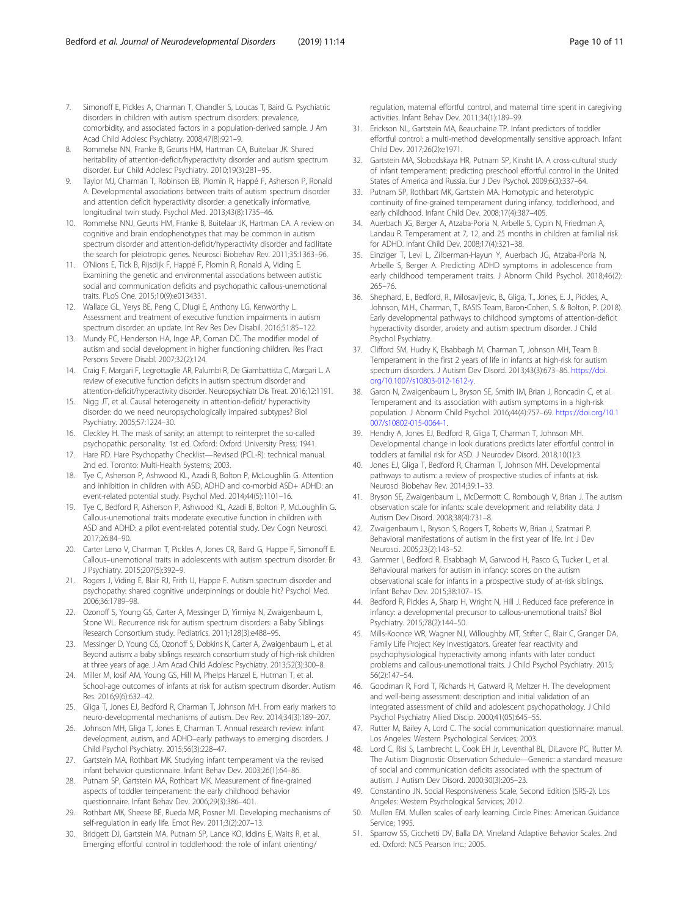- <span id="page-9-0"></span>7. Simonoff E, Pickles A, Charman T, Chandler S, Loucas T, Baird G. Psychiatric disorders in children with autism spectrum disorders: prevalence, comorbidity, and associated factors in a population-derived sample. J Am Acad Child Adolesc Psychiatry. 2008;47(8):921–9.
- 8. Rommelse NN, Franke B, Geurts HM, Hartman CA, Buitelaar JK. Shared heritability of attention-deficit/hyperactivity disorder and autism spectrum disorder. Eur Child Adolesc Psychiatry. 2010;19(3):281–95.
- Taylor MJ, Charman T, Robinson EB, Plomin R, Happé F, Asherson P, Ronald A. Developmental associations between traits of autism spectrum disorder and attention deficit hyperactivity disorder: a genetically informative, longitudinal twin study. Psychol Med. 2013;43(8):1735–46.
- 10. Rommelse NNJ, Geurts HM, Franke B, Buitelaar JK, Hartman CA. A review on cognitive and brain endophenotypes that may be common in autism spectrum disorder and attention-deficit/hyperactivity disorder and facilitate the search for pleiotropic genes. Neurosci Biobehav Rev. 2011;35:1363–96.
- 11. O'Nions E, Tick B, Rijsdijk F, Happé F, Plomin R, Ronald A, Viding E. Examining the genetic and environmental associations between autistic social and communication deficits and psychopathic callous-unemotional traits. PLoS One. 2015;10(9):e0134331.
- 12. Wallace GL, Yerys BE, Peng C, Dlugi E, Anthony LG, Kenworthy L. Assessment and treatment of executive function impairments in autism spectrum disorder: an update. Int Rev Res Dev Disabil. 2016;51:85–122.
- 13. Mundy PC, Henderson HA, Inge AP, Coman DC. The modifier model of autism and social development in higher functioning children. Res Pract Persons Severe Disabl. 2007;32(2):124.
- 14. Craig F, Margari F, Legrottaglie AR, Palumbi R, De Giambattista C, Margari L. A review of executive function deficits in autism spectrum disorder and attention-deficit/hyperactivity disorder. Neuropsychiatr Dis Treat. 2016;12:1191.
- 15. Nigg JT, et al. Causal heterogeneity in attention-deficit/ hyperactivity disorder: do we need neuropsychologically impaired subtypes? Biol Psychiatry. 2005;57:1224–30.
- 16. Cleckley H. The mask of sanity: an attempt to reinterpret the so-called psychopathic personality. 1st ed. Oxford: Oxford University Press; 1941.
- 17. Hare RD. Hare Psychopathy Checklist—Revised (PCL-R): technical manual. 2nd ed. Toronto: Multi-Health Systems; 2003.
- 18. Tye C, Asherson P, Ashwood KL, Azadi B, Bolton P, McLoughlin G. Attention and inhibition in children with ASD, ADHD and co-morbid ASD+ ADHD: an event-related potential study. Psychol Med. 2014;44(5):1101–16.
- 19. Tye C, Bedford R, Asherson P, Ashwood KL, Azadi B, Bolton P, McLoughlin G. Callous-unemotional traits moderate executive function in children with ASD and ADHD: a pilot event-related potential study. Dev Cogn Neurosci. 2017;26:84–90.
- 20. Carter Leno V, Charman T, Pickles A, Jones CR, Baird G, Happe F, Simonoff E. Callous–unemotional traits in adolescents with autism spectrum disorder. Br J Psychiatry. 2015;207(5):392–9.
- 21. Rogers J, Viding E, Blair RJ, Frith U, Happe F. Autism spectrum disorder and psychopathy: shared cognitive underpinnings or double hit? Psychol Med. 2006;36:1789–98.
- 22. Ozonoff S, Young GS, Carter A, Messinger D, Yirmiya N, Zwaigenbaum L, Stone WL. Recurrence risk for autism spectrum disorders: a Baby Siblings Research Consortium study. Pediatrics. 2011;128(3):e488–95.
- 23. Messinger D, Young GS, Ozonoff S, Dobkins K, Carter A, Zwaigenbaum L, et al. Beyond autism: a baby siblings research consortium study of high-risk children at three years of age. J Am Acad Child Adolesc Psychiatry. 2013;52(3):300–8.
- 24. Miller M, Iosif AM, Young GS, Hill M, Phelps Hanzel E, Hutman T, et al. School-age outcomes of infants at risk for autism spectrum disorder. Autism Res. 2016;9(6):632–42.
- 25. Gliga T, Jones EJ, Bedford R, Charman T, Johnson MH. From early markers to neuro-developmental mechanisms of autism. Dev Rev. 2014;34(3):189–207.
- 26. Johnson MH, Gliga T, Jones E, Charman T. Annual research review: infant development, autism, and ADHD–early pathways to emerging disorders. J Child Psychol Psychiatry. 2015;56(3):228–47.
- 27. Gartstein MA, Rothbart MK. Studying infant temperament via the revised infant behavior questionnaire. Infant Behav Dev. 2003;26(1):64–86.
- 28. Putnam SP, Gartstein MA, Rothbart MK. Measurement of fine-grained aspects of toddler temperament: the early childhood behavior questionnaire. Infant Behav Dev. 2006;29(3):386–401.
- 29. Rothbart MK, Sheese BE, Rueda MR, Posner MI. Developing mechanisms of self-regulation in early life. Emot Rev. 2011;3(2):207–13.
- 30. Bridgett DJ, Gartstein MA, Putnam SP, Lance KO, Iddins E, Waits R, et al. Emerging effortful control in toddlerhood: the role of infant orienting/

regulation, maternal effortful control, and maternal time spent in caregiving activities. Infant Behav Dev. 2011;34(1):189–99.

- 31. Erickson NL, Gartstein MA, Beauchaine TP. Infant predictors of toddler effortful control: a multi-method developmentally sensitive approach. Infant Child Dev. 2017;26(2):e1971.
- 32. Gartstein MA, Slobodskaya HR, Putnam SP, Kinsht IA. A cross-cultural study of infant temperament: predicting preschool effortful control in the United States of America and Russia. Eur J Dev Psychol. 2009;6(3):337–64.
- 33. Putnam SP, Rothbart MK, Gartstein MA. Homotypic and heterotypic continuity of fine-grained temperament during infancy, toddlerhood, and early childhood. Infant Child Dev. 2008;17(4):387–405.
- 34. Auerbach JG, Berger A, Atzaba-Poria N, Arbelle S, Cypin N, Friedman A, Landau R. Temperament at 7, 12, and 25 months in children at familial risk for ADHD. Infant Child Dev. 2008;17(4):321–38.
- 35. Einziger T, Levi L, Zilberman-Hayun Y, Auerbach JG, Atzaba-Poria N, Arbelle S, Berger A. Predicting ADHD symptoms in adolescence from early childhood temperament traits. J Abnorm Child Psychol. 2018;46(2): 265–76.
- 36. Shephard, E., Bedford, R., Milosavljevic, B., Gliga, T., Jones, E. J., Pickles, A., Johnson, M.H., Charman, T., BASIS Team, Baron‐Cohen, S. & Bolton, P. (2018). Early developmental pathways to childhood symptoms of attention-deficit hyperactivity disorder, anxiety and autism spectrum disorder. J Child Psychol Psychiatry.
- 37. Clifford SM, Hudry K, Elsabbagh M, Charman T, Johnson MH, Team B. Temperament in the first 2 years of life in infants at high-risk for autism spectrum disorders. J Autism Dev Disord. 2013;43(3):673–86. [https://doi.](https://doi.org/10.1007/s10803-012-1612-y) [org/10.1007/s10803-012-1612-y.](https://doi.org/10.1007/s10803-012-1612-y)
- 38. Garon N, Zwaigenbaum L, Bryson SE, Smith IM, Brian J, Roncadin C, et al. Temperament and its association with autism symptoms in a high-risk population. J Abnorm Child Psychol. 2016;44(4):757–69. [https://doi.org/10.1](https://doi.org/10.1007/s10802-015-0064-1) [007/s10802-015-0064-1.](https://doi.org/10.1007/s10802-015-0064-1)
- 39. Hendry A, Jones EJ, Bedford R, Gliga T, Charman T, Johnson MH. Developmental change in look durations predicts later effortful control in toddlers at familial risk for ASD. J Neurodev Disord. 2018;10(1):3.
- 40. Jones EJ, Gliga T, Bedford R, Charman T, Johnson MH. Developmental pathways to autism: a review of prospective studies of infants at risk. Neurosci Biobehav Rev. 2014;39:1–33.
- 41. Bryson SE, Zwaigenbaum L, McDermott C, Rombough V, Brian J. The autism observation scale for infants: scale development and reliability data. J Autism Dev Disord. 2008;38(4):731–8.
- 42. Zwaigenbaum L, Bryson S, Rogers T, Roberts W, Brian J, Szatmari P. Behavioral manifestations of autism in the first year of life. Int J Dev Neurosci. 2005;23(2):143–52.
- 43. Gammer I, Bedford R, Elsabbagh M, Garwood H, Pasco G, Tucker L, et al. Behavioural markers for autism in infancy: scores on the autism observational scale for infants in a prospective study of at-risk siblings. Infant Behav Dev. 2015;38:107–15.
- 44. Bedford R, Pickles A, Sharp H, Wright N, Hill J. Reduced face preference in infancy: a developmental precursor to callous-unemotional traits? Biol Psychiatry. 2015;78(2):144–50.
- 45. Mills-Koonce WR, Wagner NJ, Willoughby MT, Stifter C, Blair C, Granger DA, Family Life Project Key Investigators. Greater fear reactivity and psychophysiological hyperactivity among infants with later conduct problems and callous-unemotional traits. J Child Psychol Psychiatry. 2015; 56(2):147–54.
- 46. Goodman R, Ford T, Richards H, Gatward R, Meltzer H. The development and well-being assessment: description and initial validation of an integrated assessment of child and adolescent psychopathology. J Child Psychol Psychiatry Allied Discip. 2000;41(05):645–55.
- 47. Rutter M, Bailey A, Lord C. The social communication questionnaire: manual. Los Angeles: Western Psychological Services; 2003.
- 48. Lord C, Risi S, Lambrecht L, Cook EH Jr, Leventhal BL, DiLavore PC, Rutter M. The Autism Diagnostic Observation Schedule—Generic: a standard measure of social and communication deficits associated with the spectrum of autism. J Autism Dev Disord. 2000;30(3):205–23.
- 49. Constantino JN. Social Responsiveness Scale, Second Edition (SRS-2). Los Angeles: Western Psychological Services; 2012.
- 50. Mullen EM. Mullen scales of early learning. Circle Pines: American Guidance Service; 1995.
- 51. Sparrow SS, Cicchetti DV, Balla DA. Vineland Adaptive Behavior Scales. 2nd ed. Oxford: NCS Pearson Inc.; 2005.